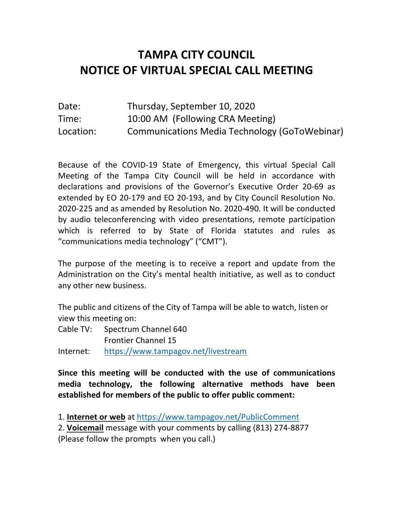## **NOTICE OF VIRTUAL SPECIAL CALL MEETING TAMPA CITY COUNCIL**

| Date:     | Thursday, September 10, 2020                  |
|-----------|-----------------------------------------------|
| Time:     | 10:00 AM (Following CRA Meeting)              |
| Location: | Communications Media Technology (GoToWebinar) |

 Because of the COVID-19 State of Emergency, this virtual Special Call Meeting of the Tampa City Council will be held in accordance with declarations and provisions of the Governor's Executive Order 20-69 as extended by EO 20-179 and EO 20-193, and by City Council Resolution No. 2020-225 and as amended by Resolution No. 2020-490. It will be conducted by audio teleconferencing with video presentations, remote participation which is referred to by State of Florida statutes and rules as "communications media technology" ("CMT").

 The purpose of the meeting is to receive a report and update from the Administration on the City's mental health initiative, as well as to conduct any other new business.

 The public and citizens of the City of Tampa will be able to watch, listen or view this meeting on:

- Cable TV: Spectrum Channel 640 Frontier Channel 15
- Internet: https://www.tampagov.net/livestream

 **Since this meeting will be conducted with the use of communications media technology, the following alternative methods have been established for members of the public to offer public comment:** 

1. Internet or web at https://www.tampagov.net/PublicComment

1. **Internet or web** at https://www.tampagov.net/PublicComment 2. **Voicemail** message with your comments by calling (813) 274-8877

(Please follow the prompts when you call.)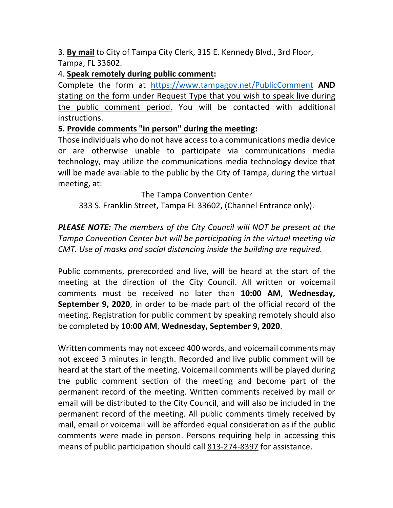3. **By mail** to City of Tampa City Clerk, 315 E. Kennedy Blvd., 3rd Floor, Tampa, FL 33602.

## 4. **Speak remotely during public comment:**

 Complete the form at https://www.tampagov.net/PublicComment **AND**  stating on the form under Request Type that you wish to speak live during the public comment period. You will be contacted with additional instructions.

## **5. Provide comments "in person" during the meeting:**

 Those individuals who do not have access to a communications media device or are otherwise unable to participate via communications media technology, may utilize the communications media technology device that will be made available to the public by the City of Tampa, during the virtual meeting, at:

## The Tampa Convention Center

333 S. Franklin Street, Tampa FL 33602, (Channel Entrance only).

 *PLEASE NOTE: The members of the City Council will NOT be present at the Tampa Convention Center but will be participating in the virtual meeting via CMT. Use of masks and social distancing inside the building are required.* 

 Public comments, prerecorded and live, will be heard at the start of the meeting at the direction of the City Council. All written or voicemail comments must be received no later than **10:00 AM**, **Wednesday, September 9, 2020**, in order to be made part of the official record of the meeting. Registration for public comment by speaking remotely should also be completed by **10:00 AM**, **Wednesday, September 9, 2020**.

 Written comments may not exceed 400 words, and voicemail comments may not exceed 3 minutes in length. Recorded and live public comment will be heard at the start of the meeting. Voicemail comments will be played during the public comment section of the meeting and become part of the permanent record of the meeting. Written comments received by mail or email will be distributed to the City Council, and will also be included in the permanent record of the meeting. All public comments timely received by mail, email or voicemail will be afforded equal consideration as if the public comments were made in person. Persons requiring help in accessing this means of public participation should call 813-274-8397 for assistance.